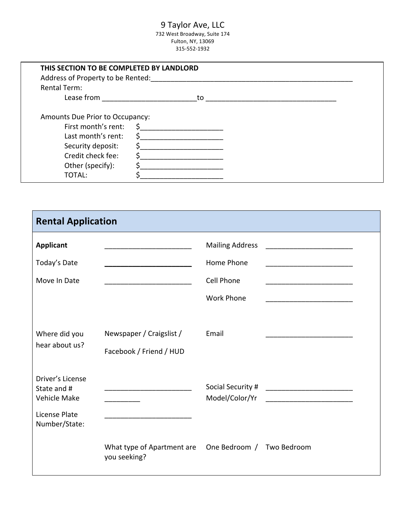### 9 Taylor Ave, LLC

732 West Broadway, Suite 174 Fulton, NY, 13069 315-552-1932

| THIS SECTION TO BE COMPLETED BY LANDLORD<br>Address of Property to be Rented:                                                                        |                |  |
|------------------------------------------------------------------------------------------------------------------------------------------------------|----------------|--|
| <b>Rental Term:</b>                                                                                                                                  |                |  |
| Lease from                                                                                                                                           | to             |  |
| Amounts Due Prior to Occupancy:<br>First month's rent:<br>Last month's rent:<br>Security deposit:<br>Credit check fee:<br>Other (specify):<br>TOTAL: | \$<br>Ś.<br>\$ |  |

| <b>Rental Application</b>                                                                |                                                                                                                                                                       |                                                                         |                                                          |
|------------------------------------------------------------------------------------------|-----------------------------------------------------------------------------------------------------------------------------------------------------------------------|-------------------------------------------------------------------------|----------------------------------------------------------|
| <b>Applicant</b><br>Today's Date<br>Move In Date                                         | <u> 1990 - Johann John Harry Harry Harry Harry Harry Harry Harry Harry Harry Harry Harry Harry Harry Harry Harry</u><br><u> 1989 - Johann John Stone, mars et al.</u> | <b>Mailing Address</b><br>Home Phone<br>Cell Phone<br><b>Work Phone</b> | <u> 1989 - Johann John Stone, mars eta biztanleria (</u> |
| Where did you<br>hear about us?                                                          | Newspaper / Craigslist /<br>Facebook / Friend / HUD                                                                                                                   | Email                                                                   |                                                          |
| Driver's License<br>State and #<br><b>Vehicle Make</b><br>License Plate<br>Number/State: |                                                                                                                                                                       | Model/Color/Yr                                                          |                                                          |
|                                                                                          | What type of Apartment are<br>you seeking?                                                                                                                            | One Bedroom / Two Bedroom                                               |                                                          |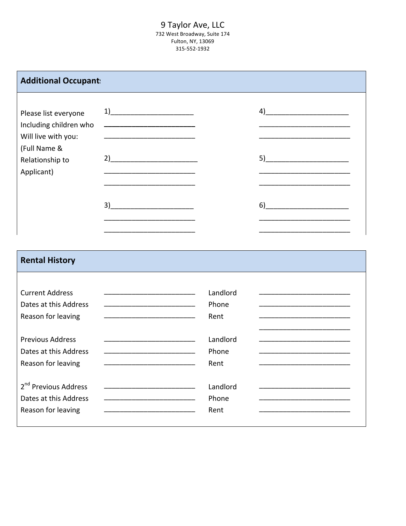#### 9 Taylor Ave, LLC 732 West Broadway, Suite 174 Fulton, NY, 13069 315-552-1932

| <b>Additional Occupant:</b>                                                                                            |                                                                                                                                                                                                                                                                                                                                                                                                                                                                                                                                                                                                                                                                       |                |
|------------------------------------------------------------------------------------------------------------------------|-----------------------------------------------------------------------------------------------------------------------------------------------------------------------------------------------------------------------------------------------------------------------------------------------------------------------------------------------------------------------------------------------------------------------------------------------------------------------------------------------------------------------------------------------------------------------------------------------------------------------------------------------------------------------|----------------|
| Please list everyone<br>Including children who<br>Will live with you:<br>(Full Name &<br>Relationship to<br>Applicant) | $\begin{array}{c} \n 1) \quad \quad \text{and} \quad \quad \text{and} \quad \quad \text{and} \quad \quad \text{and} \quad \quad \text{and} \quad \quad \text{and} \quad \quad \text{and} \quad \quad \text{and} \quad \quad \text{and} \quad \quad \text{and} \quad \quad \text{and} \quad \quad \text{and} \quad \quad \text{and} \quad \quad \text{and} \quad \quad \text{and} \quad \quad \text{and} \quad \quad \text{and} \quad \quad \text{and} \quad \quad \text{and} \quad \quad \text{and} \quad \quad \text{and} \quad \quad \text{and} \quad \quad \text{and} \$<br>2)<br>the control of the control of the control of the control of the control of<br>3) | 4)<br>5)<br>6) |

## **Rental History**

| <b>Current Address</b><br>Dates at this Address                                 | Landlord<br>Phone                                                                                                                                                                                                                                |
|---------------------------------------------------------------------------------|--------------------------------------------------------------------------------------------------------------------------------------------------------------------------------------------------------------------------------------------------|
| Reason for leaving                                                              | Rent                                                                                                                                                                                                                                             |
| <b>Previous Address</b><br>Dates at this Address<br>Reason for leaving          | Landlord<br>Phone<br><u> 2008 - Johann Barn, amerikansk politiker (</u><br>Rent                                                                                                                                                                  |
| 2 <sup>nd</sup> Previous Address<br>Dates at this Address<br>Reason for leaving | Landlord<br>the control of the control of the control of the control of the control of the control of<br>Phone<br>Rent<br><u> 1990 - Johann John Stone, markin film fan it ferstjer fan it ferstjer fan it ferstjer fan it ferstjer fan it f</u> |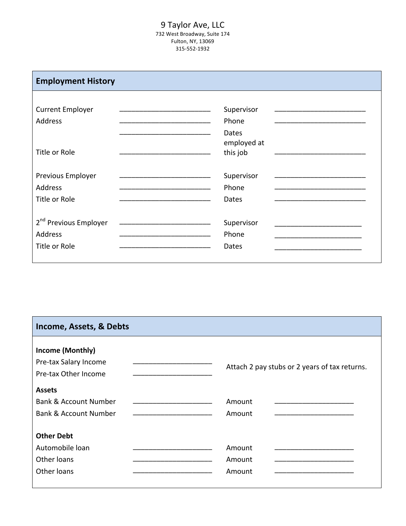#### 9 Taylor Ave, LLC 732 West Broadway, Suite 174 Fulton, NY, 13069 315-552-1932

| <b>Employment History</b>                          |                                  |
|----------------------------------------------------|----------------------------------|
| <b>Current Employer</b><br>Address                 | Supervisor<br>Phone              |
| Title or Role                                      | Dates<br>employed at<br>this job |
| Previous Employer<br>Address                       | Supervisor<br>Phone              |
| Title or Role<br>2 <sup>nd</sup> Previous Employer | Dates<br>Supervisor              |
| Address<br>Title or Role                           | Phone<br>Dates                   |

# **Income, Assets, & Debts Income (Monthly)** Pre-tax Salary Income \_\_\_\_\_\_\_\_\_\_\_\_\_\_\_\_\_\_\_\_ Attach 2 pay stubs or 2 years of tax returns. Pre-tax Other Income **Assets** Bank & Account Number \_\_\_\_\_\_\_\_\_\_\_\_\_\_\_\_\_\_\_\_ Amount \_\_\_\_\_\_\_\_\_\_\_\_\_\_\_\_\_\_\_\_ Bank & Account Number \_\_\_\_\_\_\_\_\_\_\_\_\_\_\_\_\_\_\_\_ Amount \_\_\_\_\_\_\_\_\_\_\_\_\_\_\_\_\_\_\_\_ **Other Debt** Automobile loan \_\_\_\_\_\_\_\_\_\_\_\_\_\_\_\_\_\_\_\_ Amount \_\_\_\_\_\_\_\_\_\_\_\_\_\_\_\_\_\_\_\_ Other loans \_\_\_\_\_\_\_\_\_\_\_\_\_\_\_\_\_\_\_\_ Amount \_\_\_\_\_\_\_\_\_\_\_\_\_\_\_\_\_\_\_\_ Other loans \_\_\_\_\_\_\_\_\_\_\_\_\_\_\_\_\_\_\_\_ Amount \_\_\_\_\_\_\_\_\_\_\_\_\_\_\_\_\_\_\_\_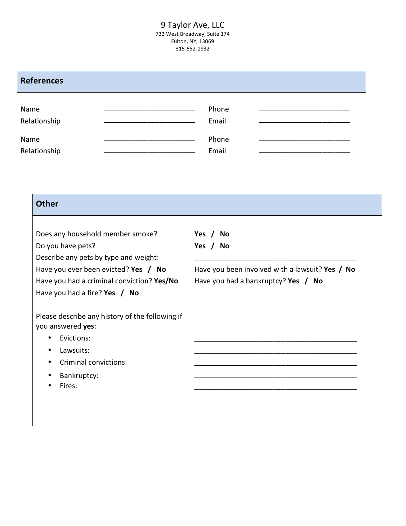#### 9 Taylor Ave, LLC 732 West Broadway, Suite 174 Fulton, NY, 13069 315-552-1932

| <b>References</b>    |                                                                                                                                                                                                                                                |                |  |
|----------------------|------------------------------------------------------------------------------------------------------------------------------------------------------------------------------------------------------------------------------------------------|----------------|--|
| Name<br>Relationship | <u> 1999 - Johann John Stone, markin film fan it ferstjer fan it ferstjer fan it ferstjer fan it ferstjer fan it f</u><br><u> 1999 - Johann John Harry, mars eta bat eta bat eta bat eta bat eta bat eta bat eta bat eta bat eta bat eta b</u> | Phone<br>Email |  |
| Name<br>Relationship |                                                                                                                                                                                                                                                | Phone<br>Email |  |

| <b>Other</b>                                                                  |                                                 |
|-------------------------------------------------------------------------------|-------------------------------------------------|
|                                                                               |                                                 |
| Does any household member smoke?                                              | Yes $/$<br><b>No</b>                            |
| Do you have pets?                                                             | Yes /<br>No                                     |
| Describe any pets by type and weight:<br>Have you ever been evicted? Yes / No | Have you been involved with a lawsuit? Yes / No |
| Have you had a criminal conviction? Yes/No                                    | Have you had a bankruptcy? Yes / No             |
| Have you had a fire? Yes $/$ No                                               |                                                 |
|                                                                               |                                                 |
| Please describe any history of the following if<br>you answered yes:          |                                                 |
| Evictions:                                                                    |                                                 |
| Lawsuits:<br>٠                                                                |                                                 |
| <b>Criminal convictions:</b>                                                  |                                                 |
| Bankruptcy:                                                                   |                                                 |
| Fires:                                                                        |                                                 |
|                                                                               |                                                 |
|                                                                               |                                                 |